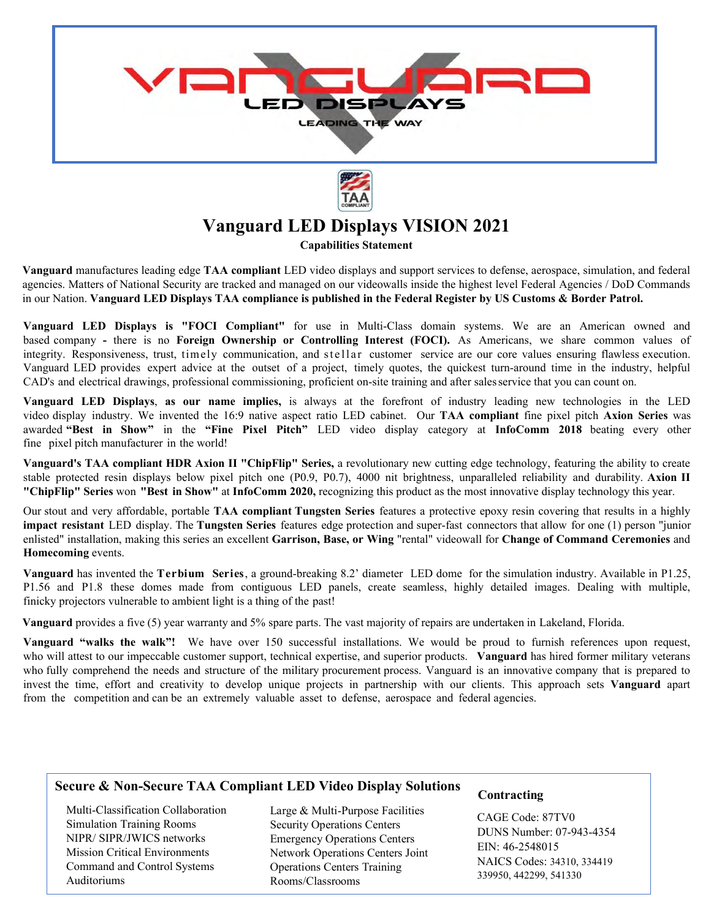

## **Vanguard LED Displays VISION 2021**

**Capabilities Statement**

**Vanguard** manufactures leading edge **TAA compliant** LED video displays and support services to defense, aerospace, simulation, and federal agencies. Matters of National Security are tracked and managed on our videowalls inside the highest level Federal Agencies / DoD Commands in our Nation. **Vanguard LED Displays TAA compliance is published in the Federal Register by US Customs & Border Patrol.** 

**Vanguard LED Displays is "FOCI Compliant"** for use in Multi-Class domain systems. We are an American owned and based company **-** there is no **Foreign Ownership or Controlling Interest (FOCI).** As Americans, we share common values of integrity. Responsiveness, trust, timely communication, and stellar customer service are our core values ensuring flawless execution. Vanguard LED provides expert advice at the outset of a project, timely quotes, the quickest turn-around time in the industry, helpful CAD's and electrical drawings, professional commissioning, proficient on-site training and after sales service that you can count on.

**Vanguard LED Displays**, **as our name implies,** is always at the forefront of industry leading new technologies in the LED video display industry. We invented the 16:9 native aspect ratio LED cabinet. Our **TAA compliant** fine pixel pitch **Axion Series** was awarded **"Best in Show"** in the **"Fine Pixel Pitch"** LED video display category at **InfoComm 2018** beating every other fine pixel pitch manufacturer in the world!

**Vanguard's TAA compliant HDR Axion II "ChipFlip" Series,** a revolutionary new cutting edge technology, featuring the ability to create stable protected resin displays below pixel pitch one (P0.9, P0.7), 4000 nit brightness, unparalleled reliability and durability. **Axion II "ChipFlip" Series** won **"Best in Show"** at **InfoComm 2020,** recognizing this product as the most innovative display technology this year.

Our stout and very affordable, portable **TAA compliant Tungsten Series** features a protective epoxy resin covering that results in a highly **impact resistant** LED display. The **Tungsten Series** features edge protection and super-fast connectors that allow for one (1) person "junior enlisted" installation, making this series an excellent **Garrison, Base, or Wing** "rental" videowall for **Change of Command Ceremonies** and **Homecoming** events.

**Vanguard** has invented the **Terbium Series**, a ground-breaking 8.2' diameter LED dome for the simulation industry. Available in P1.25, P1.56 and P1.8 these domes made from contiguous LED panels, create seamless, highly detailed images. Dealing with multiple, finicky projectors vulnerable to ambient light is a thing of the past!

**Vanguard** provides a five (5) year warranty and 5% spare parts. The vast majority of repairs are undertaken in Lakeland, Florida.

**Vanguard "walks the walk"!** We have over 150 successful installations. We would be proud to furnish references upon request, who will attest to our impeccable customer support, technical expertise, and superior products. **Vanguard** has hired former military veterans who fully comprehend the needs and structure of the military procurement process. Vanguard is an innovative company that is prepared to invest the time, effort and creativity to develop unique projects in partnership with our clients. This approach sets **Vanguard** apart from the competition and can be an extremely valuable asset to defense, aerospace and federal agencies.

## **Secure & Non-Secure TAA Compliant LED Video Display Solutions**

Multi-Classification Collaboration Simulation Training Rooms NIPR/ SIPR/JWICS networks Mission Critical Environments Command and Control Systems Auditoriums

Large & Multi-Purpose Facilities Security Operations Centers Emergency Operations Centers Network Operations Centers Joint Operations Centers Training Rooms/Classrooms

## **Contracting**

CAGE Code: 87TV0 DUNS Number: 07-943-4354 EIN: 46-2548015 NAICS Codes: 34310, 334419 339950, 442299, 541330